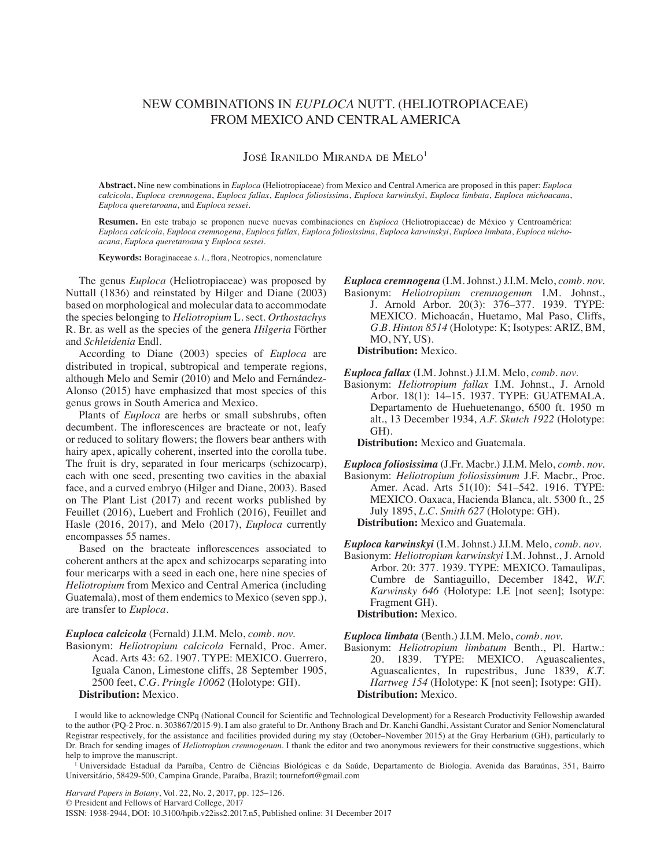## New combinations in *Euploca* Nutt. (Heliotropiaceae) from Mexico and Central America

## JOSÉ IRANILDO MIRANDA DE MELO<sup>1</sup>

**Abstract.** Nine new combinations in *Euploca* (Heliotropiaceae) from Mexico and Central America are proposed in this paper: *Euploca calcicola*, *Euploca cremnogena*, *Euploca fallax*, *Euploca foliosissima*, *Euploca karwinskyi*, *Euploca limbata*, *Euploca michoacana*, *Euploca queretaroana*, and *Euploca sessei*.

**Resumen.** En este trabajo se proponen nueve nuevas combinaciones en *Euploca* (Heliotropiaceae) de México y Centroamérica: *Euploca calcicola*, *Euploca cremnogena*, *Euploca fallax*, *Euploca foliosissima*, *Euploca karwinskyi*, *Euploca limbata*, *Euploca michoacana*, *Euploca queretaroana* y *Euploca sessei*.

**Keywords:** Boraginaceae *s. l.*, flora, Neotropics, nomenclature

The genus *Euploca* (Heliotropiaceae) was proposed by Nuttall (1836) and reinstated by Hilger and Diane (2003) based on morphological and molecular data to accommodate the species belonging to *Heliotropium* L. sect. *Orthostachys* R. Br. as well as the species of the genera *Hilgeria* Förther and *Schleidenia* Endl.

According to Diane (2003) species of *Euploca* are distributed in tropical, subtropical and temperate regions, although Melo and Semir (2010) and Melo and Fernández-Alonso (2015) have emphasized that most species of this genus grows in South America and Mexico.

Plants of *Euploca* are herbs or small subshrubs, often decumbent. The inflorescences are bracteate or not, leafy or reduced to solitary flowers; the flowers bear anthers with hairy apex, apically coherent, inserted into the corolla tube. The fruit is dry, separated in four mericarps (schizocarp), each with one seed, presenting two cavities in the abaxial face, and a curved embryo (Hilger and Diane, 2003). Based on The Plant List (2017) and recent works published by Feuillet (2016), Luebert and Frohlich (2016), Feuillet and Hasle (2016, 2017), and Melo (2017), *Euploca* currently encompasses 55 names.

Based on the bracteate inflorescences associated to coherent anthers at the apex and schizocarps separating into four mericarps with a seed in each one, here nine species of *Heliotropium* from Mexico and Central America (including Guatemala), most of them endemics to Mexico (seven spp.), are transfer to *Euploca*.

## *Euploca calcicola* (Fernald) J.I.M. Melo, *comb. nov.*

Basionym: *Heliotropium calcicola* Fernald, Proc. Amer. Acad. Arts 43: 62. 1907. TYPE: MEXICO. Guerrero, Iguala Canon, Limestone cliffs, 28 September 1905, 2500 feet, *C.G. Pringle 10062* (Holotype: GH). **Distribution:** Mexico.

*Euploca cremnogena* (I.M. Johnst.) J.I.M. Melo, *comb. nov.*  Basionym: *Heliotropium cremnogenum* I.M. Johnst., J. Arnold Arbor. 20(3): 376–377. 1939. TYPE: MEXICO. Michoacán, Huetamo, Mal Paso, Cliffs, *G.B. Hinton 8514* (Holotype: K; Isotypes: ARIZ, BM, MO, NY, US). **Distribution:** Mexico.

*Euploca fallax* (I.M. Johnst.) J.I.M. Melo, *comb. nov.*

Basionym: *Heliotropium fallax* I.M. Johnst., J. Arnold Arbor. 18(1): 14–15. 1937. TYPE: GUATEMALA. Departamento de Huehuetenango, 6500 ft. 1950 m alt., 13 December 1934, *A.F. Skutch 1922* (Holotype: GH).

**Distribution:** Mexico and Guatemala.

*Euploca foliosissima* (J.Fr. Macbr.) J.I.M. Melo, *comb. nov.* Basionym: *Heliotropium foliosissimum* J.F. Macbr., Proc. Amer. Acad. Arts 51(10): 541–542. 1916. TYPE: MEXICO. Oaxaca, Hacienda Blanca, alt. 5300 ft., 25 July 1895, *L.C. Smith 627* (Holotype: GH). **Distribution:** Mexico and Guatemala.

*Euploca karwinskyi* (I.M. Johnst.) J.I.M. Melo, *comb. nov.* Basionym: *Heliotropium karwinskyi* I.M. Johnst., J. Arnold Arbor. 20: 377. 1939. TYPE: MEXICO. Tamaulipas, Cumbre de Santiaguillo, December 1842, *W.F. Karwinsky 646* (Holotype: LE [not seen]; Isotype: Fragment GH). **Distribution:** Mexico.

*Euploca limbata* (Benth.) J.I.M. Melo, *comb. nov.*

Basionym: *Heliotropium limbatum* Benth., Pl. Hartw.: 20. 1839. TYPE: MEXICO. Aguascalientes, Aguascalientes, In rupestribus, June 1839, *K.T. Hartweg 154* (Holotype: K [not seen]; Isotype: GH). **Distribution:** Mexico.

I would like to acknowledge CNPq (National Council for Scientific and Technological Development) for a Research Productivity Fellowship awarded to the author (PQ-2 Proc. n. 303867/2015-9). I am also grateful to Dr. Anthony Brach and Dr. Kanchi Gandhi, Assistant Curator and Senior Nomenclatural Registrar respectively, for the assistance and facilities provided during my stay (October–November 2015) at the Gray Herbarium (GH), particularly to Dr. Brach for sending images of *Heliotropium cremnogenum*. I thank the editor and two anonymous reviewers for their constructive suggestions, which help to improve the manuscript.

<sup>1</sup>Universidade Estadual da Paraíba, Centro de Ciências Biológicas e da Saúde, Departamento de Biologia. Avenida das Baraúnas, 351, Bairro Universitário, 58429-500, Campina Grande, Paraíba, Brazil; tournefort@gmail.com

*Harvard Papers in Botany*, Vol. 22, No. 2, 2017, pp. 125–126. © President and Fellows of Harvard College, 2017 ISSN: 1938-2944, DOI: 10.3100/hpib.v22iss2.2017.n5, Published online: 31 December 2017